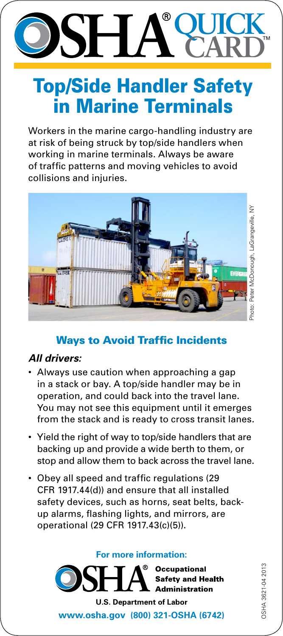### **QUICK** ® SH A **CARD**

# Top/Side Handler Safety in Marine Terminals

Workers in the marine cargo-handling industry are at risk of being struck by top/side handlers when working in marine terminals. Always be aware of traffic patterns and moving vehicles to avoid collisions and injuries.



#### Ways to Avoid Traffic Incidents

#### *All drivers:*

- Always use caution when approaching a gap in a stack or bay. A top/side handler may be in operation, and could back into the travel lane. You may not see this equipment until it emerges from the stack and is ready to cross transit lanes.
- Yield the right of way to top/side handlers that are backing up and provide a wide berth to them, or stop and allow them to back across the travel lane.
- Obey all speed and traffic regulations (29 CFR 1917.44(d)) and ensure that all installed safety devices, such as horns, seat belts, backup alarms, flashing lights, and mirrors, are operational (29 CFR 1917.43(c)(5)).

**For more information:**



OSHA 3621-04 2013

DSHA 3621-04 2013